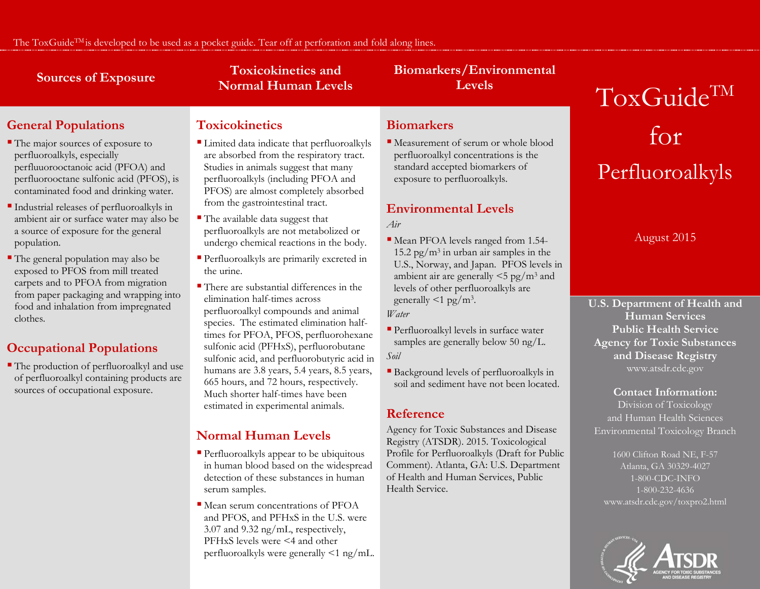# **Toxicokinetics and** Sources of Exposure<br>
Normal Human Levels **Levels**

# **Biomarkers/Environmental**

# **General Populations**

- The major sources of exposure to perfluoroalkyls, especially perfluuorooctanoic acid (PFOA) and perfluorooctane sulfonic acid (PFOS), is contaminated food and drinking water.
- Industrial releases of perfluoroalkyls in ambient air or surface water may also be a source of exposure for the general population.
- The general population may also be exposed to PFOS from mill treated carpets and to PFOA from migration from paper packaging and wrapping into food and inhalation from impregnated clothes.

# **Occupational Populations**

 The production of perfluoroalkyl and use of perfluoroalkyl containing products are sources of occupational exposure.

# **Toxicokinetics**

- Limited data indicate that perfluoroalkyls are absorbed from the respiratory tract. Studies in animals suggest that many perfluoroalkyls (including PFOA and PFOS) are almost completely absorbed from the gastrointestinal tract.
- The available data suggest that perfluoroalkyls are not metabolized or undergo chemical reactions in the body.
- Perfluoroalkyls are primarily excreted in the urine.
- There are substantial differences in the elimination half-times across perfluoroalkyl compounds and animal species. The estimated elimination halftimes for PFOA, PFOS, perfluorohexane sulfonic acid (PFHxS), perfluorobutane sulfonic acid, and perfluorobutyric acid in humans are 3.8 years, 5.4 years, 8.5 years, 665 hours, and 72 hours, respectively. Much shorter half-times have been estimated in experimental animals.

# **Normal Human Levels**

- Perfluoroalkyls appear to be ubiquitous in human blood based on the widespread detection of these substances in human serum samples.
- Mean serum concentrations of PFOA and PFOS, and PFHxS in the U.S. were 3.07 and 9.32 ng/mL, respectively, PFHxS levels were <4 and other perfluoroalkyls were generally <1 ng/mL.

### **Biomarkers**

 Measurement of serum or whole blood perfluoroalkyl concentrations is the standard accepted biomarkers of exposure to perfluoroalkyls.

# **Environmental Levels**

*Air*

- Mean PFOA levels ranged from 1.54- 15.2 pg/ $m<sup>3</sup>$  in urban air samples in the U.S., Norway, and Japan. PFOS levels in ambient air are generally <5 pg/m3 and levels of other perfluoroalkyls are generally  $\leq 1$  pg/m<sup>3</sup>. *Water*
- Perfluoroalkyl levels in surface water samples are generally below 50 ng/L. *Soil*
- Background levels of perfluoroalkyls in soil and sediment have not been located.

### **Reference**

Agency for Toxic Substances and Disease Registry (ATSDR). 2015. Toxicological Profile for Perfluoroalkyls (Draft for Public Comment). Atlanta, GA: U.S. Department of Health and Human Services, Public Health Service.

# ToxGuide<sup>TM</sup> for Perfluoroalkyls

August 2015

**U.S. Department of Health and Human Services Public Health Service Agency for Toxic Substances and Disease Registry** www.atsdr.cdc.gov

#### **Contact Information:**

Division of Toxicology and Human Health Sciences Environmental Toxicology Branch

1600 Clifton Road NE, F-57 Atlanta, GA 30329-4027 1-800-CDC-INFO 1-800-232-4636 www.atsdr.cdc.gov/toxpro2.html